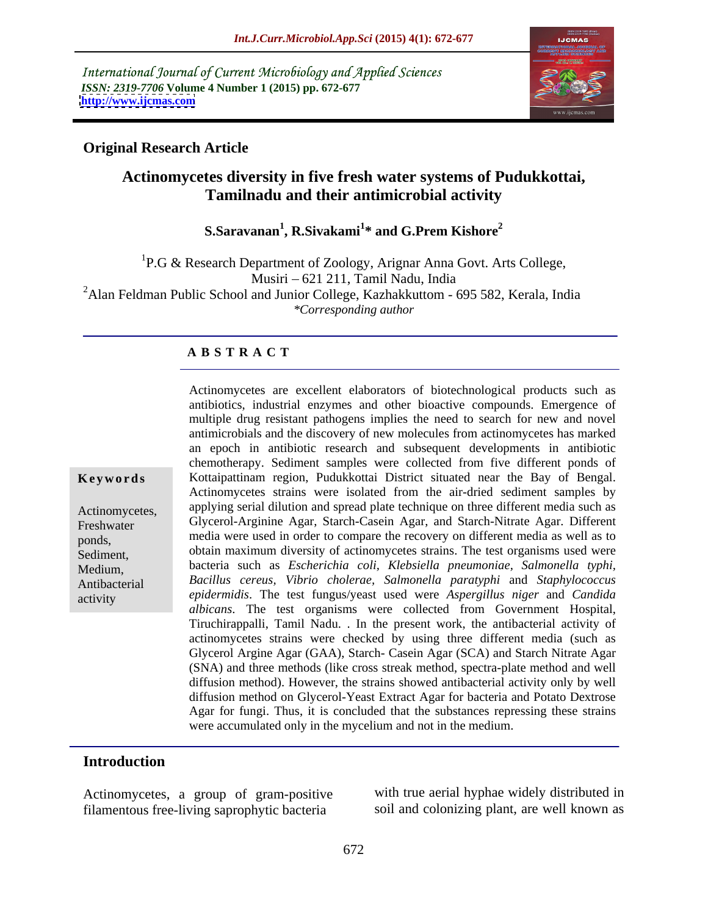International Journal of Current Microbiology and Applied Sciences *ISSN: 2319-7706* **Volume 4 Number 1 (2015) pp. 672-677 <http://www.ijcmas.com>**



### **Original Research Article**

# **Actinomycetes diversity in five fresh water systems of Pudukkottai, Tamilnadu and their antimicrobial activity**

### **S.Saravanan<sup>1</sup> , R.Sivakami<sup>1</sup> \* and G.Prem Kishore<sup>2</sup>**

<sup>1</sup>P.G & Research Department of Zoology, Arignar Anna Govt. Arts College, Musiri 621 211, Tamil Nadu, India  $^{2}$ Alan Feldman Public School and Junior College, Kazhakkuttom - 695 582, Kerala, India *\*Corresponding author*

### **A B S T R A C T**

activity

Actinomycetes are excellent elaborators of biotechnological products such as antibiotics, industrial enzymes and other bioactive compounds. Emergence of multiple drug resistant pathogens implies the need to search for new and novel antimicrobials and the discovery of new molecules from actinomycetes has marked an epoch in antibiotic research and subsequent developments in antibiotic chemotherapy. Sediment samples were collected from five different ponds of **Keywords** Kottaipattinam region, Pudukkottai District situated near the Bay of Bengal. Actinomycetes strains were isolated from the air-dried sediment samples by Actinomycetes, applying serial dilution and spread plate technique on three different media such as Freshwater Glycerol-Arginine Agar, Starch-Casein Agar, and Starch-Nitrate Agar. Different ponds, media were used in order to compare the recovery on different media as well as to Sediment, obtain maximum diversity of actinomycetes strains. The test organisms used were bacteria such as *Escherichia coli, Klebsiella pneumoniae, Salmonella typhi,* Medium, *Bacillus cereus, Vibrio cholerae, Salmonella paratyphi* and *Staphylococcus*  Antibacterial *epidermidis*. The test fungus/yeast used were *Aspergillus niger* and *Candida albicans*. The test organisms were collected from Government Hospital, Tiruchirappalli, Tamil Nadu. . In the present work, the antibacterial activity of actinomycetes strains were checked by using three different media (such as Glycerol Argine Agar (GAA), Starch- Casein Agar (SCA) and Starch Nitrate Agar (SNA) and three methods (like cross streak method, spectra-plate method and well diffusion method). However, the strains showed antibacterial activity only by well diffusion method on Glycerol-Yeast Extract Agar for bacteria and Potato Dextrose Agar for fungi. Thus, it is concluded that the substances repressing these strains were accumulated only in the mycelium and not in the medium.

### **Introduction**

Actinomycetes, a group of gram-positive filamentous free-living saprophytic bacteria

with true aerial hyphae widely distributed in soil and colonizing plant, are well known as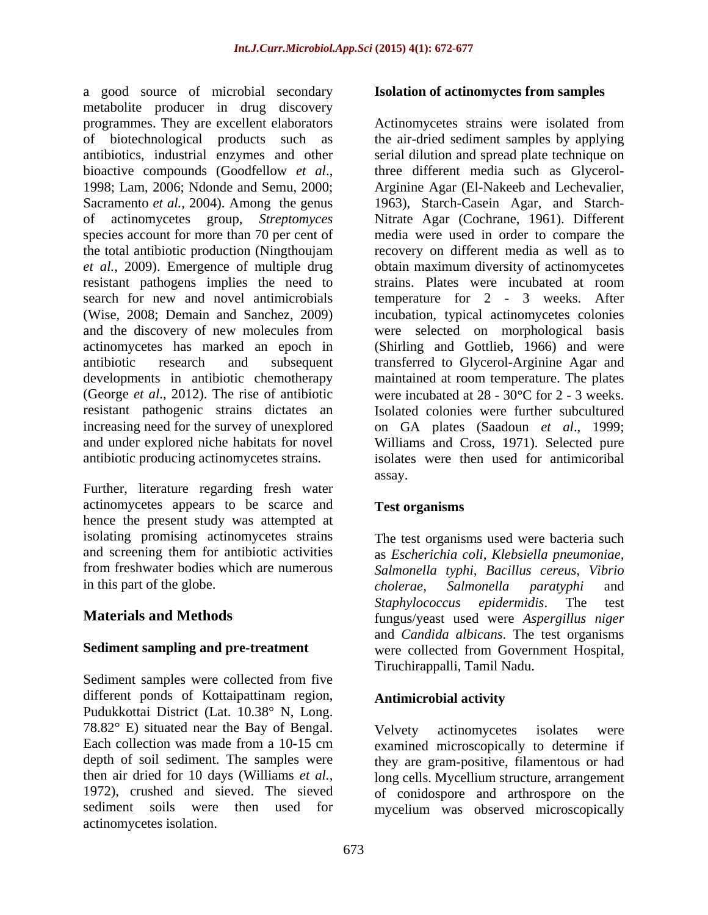a good source of microbial secondary metabolite producer in drug discovery the total antibiotic production (Ningthoujam resistant pathogens implies the need to developments in antibiotic chemotherapy resistant pathogenic strains dictates an antibiotic producing actinomycetes strains.

Further, literature regarding fresh water actinomycetes appears to be scarce and hence the present study was attempted at isolating promising actinomycetes strains

Sediment samples were collected from five different ponds of Kottaipattinam region, **Antimicrobial activity** Pudukkottai District (Lat. 10.38° N, Long. 78.82° E) situated near the Bay of Bengal. actinomycetes isolation.

### **Isolation of actinomyctes from samples**

programmes. They are excellent elaborators Actinomycetes strains were isolated from of biotechnological products such as the air-dried sediment samples by applying antibiotics, industrial enzymes and other serial dilution and spread plate technique on bioactive compounds (Goodfellow *et al.*, three different media such as Glycerol-<br>1998; Lam, 2006; Ndonde and Semu, 2000; Arginine Agar (El-Nakeeb and Lechevalier, Sacramento *et al.,* 2004). Among the genus 1963), Starch-Casein Agar, and Starch of actinomycetes group, *Streptomyces*  Nitrate Agar (Cochrane, 1961). Different species account for more than 70 per cent of media were used in order to compare the *et al.*, 2009). Emergence of multiple drug obtain maximum diversity of actinomycetes search for new and novel antimicrobials temperature for 2 - 3 weeks. After (Wise, 2008; Demain and Sanchez, 2009) incubation, typical actinomycetes colonies and the discovery of new molecules from were selected on morphological basis actinomycetes has marked an epoch in (Shirling and Gottlieb, 1966) and were antibiotic research and subsequent transferred to Glycerol-Arginine Agar and (George *et al.*, 2012). The rise of antibiotic were incubated at  $28 - 30^{\circ}\text{C}$  for  $2 - 3$  weeks. increasing need for the survey of unexplored on GA plates (Saadoun *et al*., 1999; and under explored niche habitats for novel Williams and Cross, 1971). Selected pure three different media such as Glycerol- Arginine Agar (El-Nakeeb and Lechevalier, recovery on different media as well as to strains. Plates were incubated at room maintained at room temperature. The plates Isolated colonies were further subcultured isolates were then used for antimicoribal assay.

## **Test organisms**

and screening them for antibiotic activities as *Escherichia coli, Klebsiella pneumoniae,* from freshwater bodies which are numerous *Salmonella typhi, Bacillus cereus, Vibrio* in this part of the globe. Cholerae, Salmonella paratyphi and **Materials and Methods** fungus/yeast used were *Aspergillus niger* Sediment sampling and pre-treatment were collected from Government Hospital, The test organisms used were bacteria such *cholerae, Salmonella paratyphi* and *Staphylococcus epidermidis*. The test and *Candida albicans*. The test organisms Tiruchirappalli, Tamil Nadu.

## **Antimicrobial activity**

Each collection was made from a 10-15 cm examined microscopically to determine if depth of soil sediment. The samples were they are gram-positive, filamentous or had then air dried for 10 days (Williams *et al.*, long cells. Mycellium structure, arrangement 1972), crushed and sieved. The sieved of conidospore and arthrospore on the sediment soils were then used for mycelium was observed microscopicallyVelvety actinomycetes isolates were long cells. Mycellium structure, arrangement of conidospore and arthrospore on the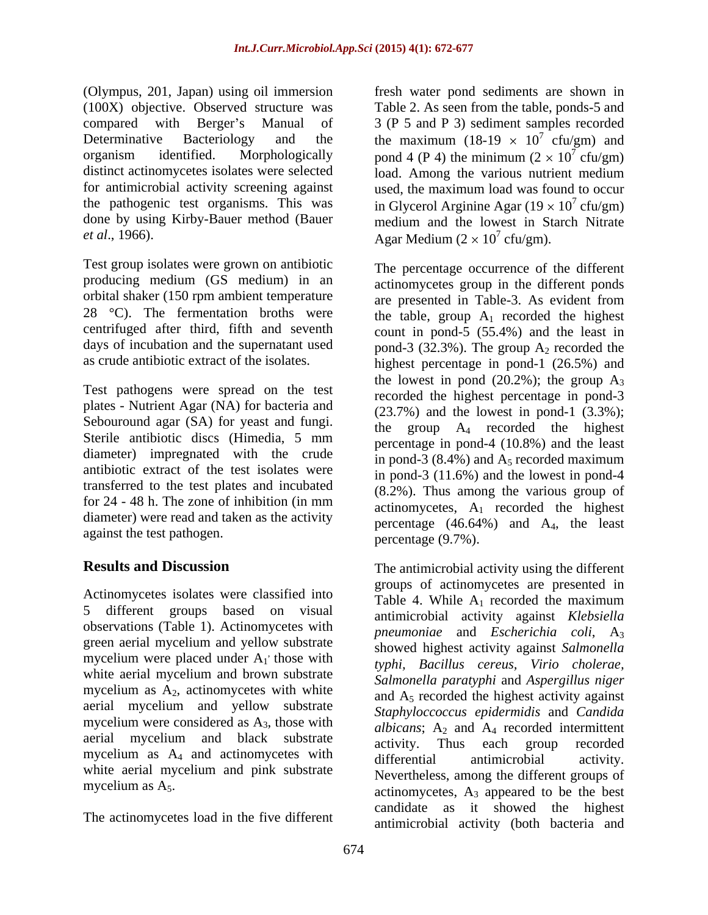(Olympus, 201, Japan) using oil immersion fresh water pond sediments are shown in (100X) objective. Observed structure was Table 2. As seen from the table, ponds-5 and compared with Berger's Manual of 3 (P 5 and P 3) sediment samples recorded Determinative Bacteriology and the the maximum (18-19  $\times$  10<sup>7</sup> cfu/gm) and organism identified. Morphologically pond 4 (P 4) the minimum  $(2 \times 10^7 \text{ cfu/gm})$ distinct actinomycetes isolates were selected load. Among the various nutrient medium for antimicrobial activity screening against used, the maximum load was found to occur the pathogenic test organisms. This was in Glycerol Arginine Agar  $(19 \times 10^7 \text{ c} \text{fu/gm})$ done by using Kirby-Bauer method (Bauer medium and the lowest in Starch Nitrate

Test group isolates were grown on antibiotic producing medium (GS medium) in an orbital shaker (150 rpm ambient temperature

Test pathogens were spread on the test plates - Nutrient Agar (NA) for bacteria and Sebouround agar (SA) for yeast and fungi. diameter) impregnated with the crude antibiotic extract of the test isolates were transferred to the test plates and incubated for 24 - 48 h. The zone of inhibition (in mm diameter) were read and taken as the activity against the test pathogen.

Actinomycetes isolates were classified into<br>Table 4. While A<sub>1</sub> recorded the maximum 5 different groups based on visual observations (Table 1). Actinomycetes with green aerial mycelium and yellow substrate mycelium were placed under  $A_1$  those with white aerial mycelium and brown substrate mycelium as  $A_2$ , actinomycetes with white aerial mycelium and yellow substrate mycelium were considered as A3, those with aerial mycelium and black substrate activity. Thus each group recorded mycelium as A<sub>4</sub> and actinomycetes with differential antimicrobial activity. white aerial mycelium and pink substrate

The actinomycetes load in the five different

*et al.*, 1966). Agar Medium  $(2 \times 10^7 \text{ cftu/gm})$ .  $7 \text{ of } v(\text{cm})$  and cfu/gm) and  $\frac{7}{2}$  of  $\frac{1}{2}$ cfu/gm) cfu/gm) cfu/gm).

28 °C). The fermentation broths were the table, group  $A_1$  recorded the highest centrifuged after third, fifth and seventh count in pond-5 (55.4%) and the least in days of incubation and the supernatant used pond-3  $(32.3\%)$ . The group  $A_2$  recorded the as crude antibiotic extract of the isolates. highest percentage in pond-1 (26.5%) and Sterile antibiotic discs (Himedia, 5 mm The percentage occurrence of the different actinomycetes group in the different ponds are presented in Table-3. As evident from the lowest in pond  $(20.2\%)$ ; the group  $A_3$ recorded the highest percentage in pond-3  $(23.7%)$  and the lowest in pond-1  $(3.3%)$ ; the group  $A_4$  recorded the highest percentage in pond-4 (10.8%) and the least in pond-3 (8.4%) and  $A_5$  recorded maximum in pond-3 (11.6%) and the lowest in pond-4 (8.2%). Thus among the various group of actinomycetes,  $A_1$  recorded the highest percentage  $(46.64\%)$  and  $A_4$ , the least percentage (9.7%).

**Results and Discussion** The antimicrobial activity using the different , those with *typhi, Bacillus cereus, Virio cholerae,* mycelium as  $A_5$ . actinomycetes,  $A_3$  appeared to be the best groups of actinomycetes are presented in Table 4. While  $A_1$  recorded the maximum antimicrobial activity against *Klebsiella pneumoniae* and *Escherichia coli*, A3 showed highest activity against *Salmonella Salmonella paratyphi* and *Aspergillus niger* and  $A<sub>5</sub>$  recorded the highest activity against *Staphyloccoccus epidermidis* and *Candida albicans*;  $A_2$  and  $A_4$  recorded intermittent activity. Thus each group recorded differential antimicrobial activity. Nevertheless, among the different groups of candidate as it showed the highest antimicrobial activity (both bacteria and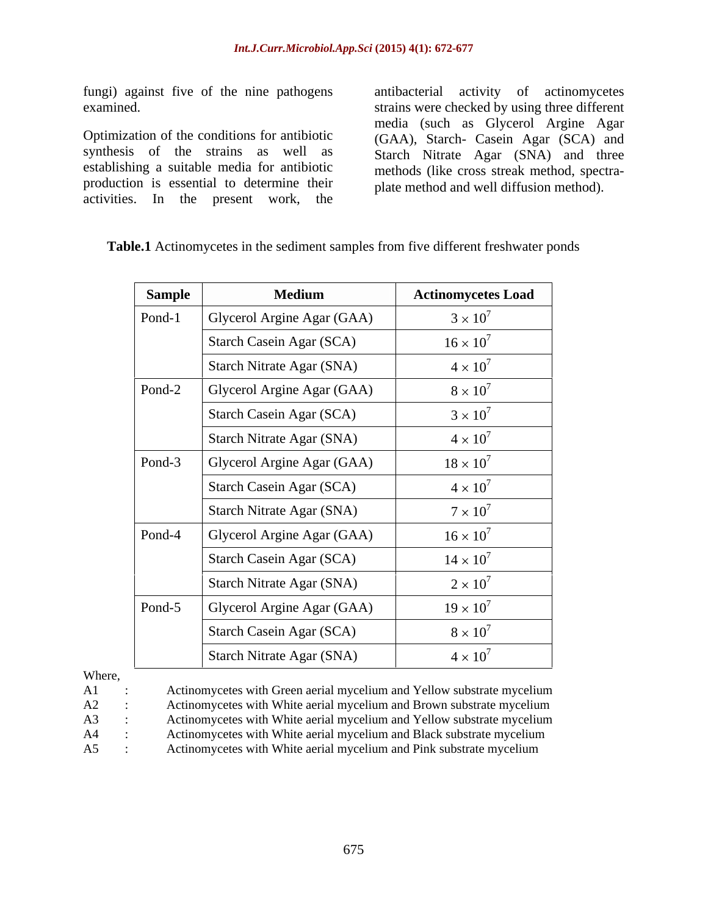fungi) against five of the nine pathogens antibacterial activity of actinomycetes

Optimization of the conditions for antibiotic synthesis of the strains as well as establishing a suitable media for antibiotic production is essential to determine their activities. In the present work, the

 $\sim$ 

examined. strains were checked by using three different media (such as Glycerol Argine Agar (GAA), Starch- Casein Agar (SCA) and Starch Nitrate Agar (SNA) and three methods (like cross streak method, spectra plate method and well diffusion method).

| <b>Sample</b> | <b>Medium</b>              | <b>Actinomycetes Load</b> |
|---------------|----------------------------|---------------------------|
| Pond-1        | Glycerol Argine Agar (GAA) | $3 \times 10^7$           |
|               | Starch Casein Agar (SCA)   | $16 \times 10^7$          |
|               | Starch Nitrate Agar (SNA)  | $4 \times 10^7$           |
| Pond-2        | Glycerol Argine Agar (GAA) | $8\times10^7$             |
|               | Starch Casein Agar (SCA)   | $3 \times 10^7$           |
|               | Starch Nitrate Agar (SNA)  | $4 \times 10^7$           |
| Pond-3        | Glycerol Argine Agar (GAA) | $18 \times 10^7$          |
|               | Starch Casein Agar (SCA)   | $4 \times 10^7$           |
|               | Starch Nitrate Agar (SNA)  | $7 \times 10^7$           |
| Pond-4        | Glycerol Argine Agar (GAA) | $16 \times 10^7$          |
|               | Starch Casein Agar (SCA)   | $14 \times 10^7$          |
|               | Starch Nitrate Agar (SNA)  | $2 \times 10^7$           |
| Pond-5        | Glycerol Argine Agar (GAA) | $19 \times 10^7$          |
|               | Starch Casein Agar (SCA)   | $8 \times 10^7$           |
|               | Starch Nitrate Agar (SNA)  | $4 \times 10^7$           |

**Table.1** Actinomycetes in the sediment samples from five different freshwater ponds

 $\overline{\phantom{a}}$ 

Where,

| $A1$ : | Actinomycetes with Green aerial mycelium and Yellow substrate mycelium |
|--------|------------------------------------------------------------------------|
| $A2$ : | Actinomycetes with White aerial mycelium and Brown substrate mycelium  |
| A3 :   | Actinomycetes with White aerial mycelium and Yellow substrate mycelium |
| $A4$ : | Actinomycetes with White aerial mycelium and Black substrate mycelium  |
| $A5$ : | Actinomycetes with White aerial mycelium and Pink substrate mycelium   |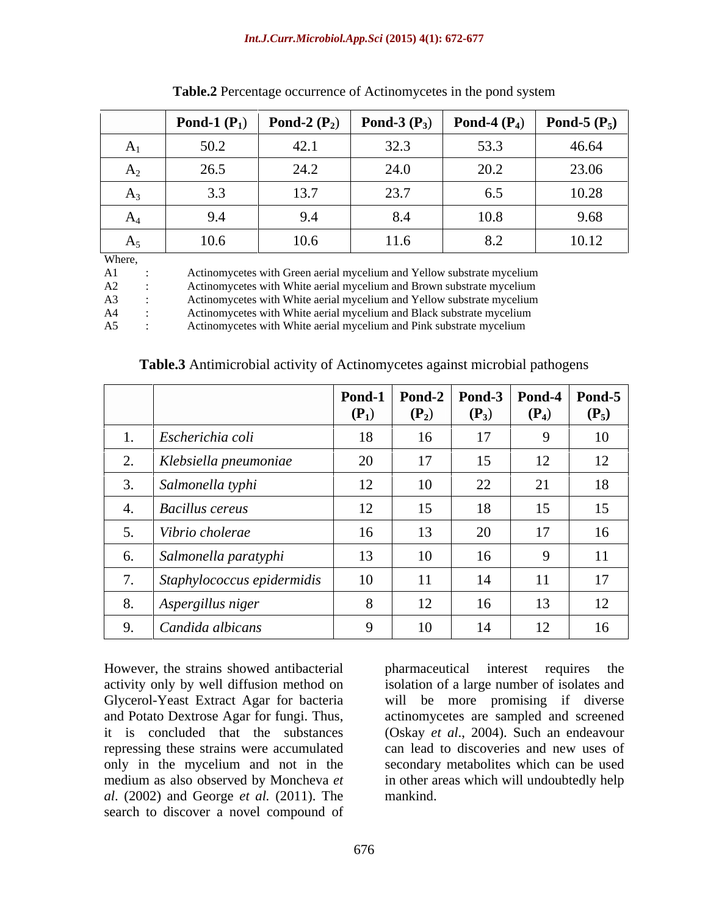|                               | <b>Pond-1</b> $(\mathbf{P}_1)$ | <b>Pond-2</b> $(P_2)$ | Pond-3 $(P_3)$ | <b>Pond-4</b> $(P_4)$ | <b>Pond-5</b> $(P_5)$ |
|-------------------------------|--------------------------------|-----------------------|----------------|-----------------------|-----------------------|
| A <sub>1</sub>                | 50.2                           | 42.1                  | 32.3           | 53.3                  | 46.64                 |
| A <sub>2</sub>                | 26.5                           | 24.2                  | 24.0           | 20.2                  | 23.06                 |
| $A_3$                         |                                | 13.7                  | 23.7           | 6.5                   | 10.28                 |
| $\mathbf{\mathsf{\Lambda}}_4$ | 9.4                            | 9.4                   | 8.4            | 10.8                  | 9.68                  |
| $A_5$                         | 10.6                           | 10.6                  | 11.6           | 8.2                   | 10.12                 |
| Where,                        |                                |                       |                |                       |                       |

**Table.2** Percentage occurrence of Actinomycetes in the pond system

A1 : Actinomycetes with Green aerial mycelium and Yellow substrate mycelium

A2 : Actinomycetes with White aerial mycelium and Brown substrate mycelium

A3 : Actinomycetes with White aerial mycelium and Yellow substrate mycelium

A4 : Actinomycetes with White aerial mycelium and Black substrate mycelium

A5 : Actinomycetes with White aerial mycelium and Pink substrate mycelium

**Pond-1**   $(P_1)$   $(P_2)$   $(P_3)$   $(P_4)$   $(P_5)$ **Pond-2**   $(P_2)$   $(P_3)$   $(P_4)$   $(P_5)$ **Pond-3**   $(P_3)$   $(P_4)$   $(P_5)$ **Pond-4**   $(P_4)$   $(P_5)$ **Pond-5**   $(P_5)$ 1. *Escherichia coli* 18 16 17 9 10 2. *Klebsiella pneumoniae* | 20 | 17 | 15 | 12 | 12 | 3. *Salmonella typhi* 12 10 22 21 18 4. *Bacillus cereus* 12 15 18 15 15 15 5. *Vibrio cholerae* 16 13 20 17 16 6. *Salmonella paratyphi* 13 10 16 9 11 7. *Staphylococcus epidermidis* | 10 | 11 | 14 | 11 | 17 | 8. *Aspergillus niger* 18 12 16 13 12 9. *Candida albicans* 19 10 14 12 16

**Table.3** Antimicrobial activity of Actinomycetes against microbial pathogens

However, the strains showed antibacterial medium as also observed by Moncheva *et al*. (2002) and George *et al.* (2011).The search to discover a novel compound of

activity only by well diffusion method on isolation of a large number of isolates and Glycerol-Yeast Extract Agar for bacteria will be more promising if diverse and Potato Dextrose Agar for fungi. Thus, actinomycetes are sampled and screened it is concluded that the substances (Oskay *et al.*, 2004). Such an endeavour repressing these strains were accumulated can lead to discoveries and new uses of only in the mycelium and not in the secondary metabolites which can be used pharmaceutical interest requires in other areas which will undoubtedly help mankind.